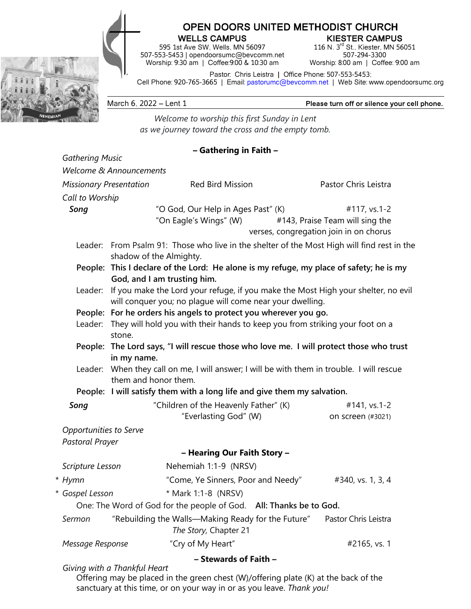

## **OPEN DOORS UNITED METHODIST CHURCH**

**WELLS CAMPUS**<br>st Ave SW, Wells, MN 56097 116 N. 3rd St., Kiester, MN 56051 595 1st Ave SW, Wells, MN 56097 116 N. 3rd St., Kiester, MN 56051 507-553-5453 | opendoorsumc@bevcomm.net 507-294-3300 Worship: 9:30 am | Coffee: 9:00 & 10:30 am

Pastor: Chris Leistra **|** Office Phone: 507-553-5453;

Cell Phone: 920-765-3665 | Email: [pastorumc@bevcomm.net](mailto:pastorumc@bevcomm.net) | Web Site: www.opendoorsumc.org

March 6, 2022 – Lent 1 **Please turn off or silence your cell phone.**

*Welcome to worship this first Sunday in Lent as we journey toward the cross and the empty tomb.*

### **– Gathering in Faith –**

| <b>Gathering Music</b>         |                                                                                                                                                        |                                                                                           |                                                                                           |  |  |  |
|--------------------------------|--------------------------------------------------------------------------------------------------------------------------------------------------------|-------------------------------------------------------------------------------------------|-------------------------------------------------------------------------------------------|--|--|--|
| Welcome & Announcements        |                                                                                                                                                        |                                                                                           |                                                                                           |  |  |  |
| <b>Missionary Presentation</b> |                                                                                                                                                        | Red Bird Mission                                                                          | Pastor Chris Leistra                                                                      |  |  |  |
| Call to Worship                |                                                                                                                                                        |                                                                                           |                                                                                           |  |  |  |
| Song                           |                                                                                                                                                        | "O God, Our Help in Ages Past" (K)<br>"On Eagle's Wings" (W)                              | #117, vs.1-2<br>#143, Praise Team will sing the<br>verses, congregation join in on chorus |  |  |  |
|                                | Leader: From Psalm 91: Those who live in the shelter of the Most High will find rest in the<br>shadow of the Almighty.                                 |                                                                                           |                                                                                           |  |  |  |
|                                | People: This I declare of the Lord: He alone is my refuge, my place of safety; he is my<br>God, and I am trusting him.                                 |                                                                                           |                                                                                           |  |  |  |
|                                | Leader: If you make the Lord your refuge, if you make the Most High your shelter, no evil<br>will conquer you; no plague will come near your dwelling. |                                                                                           |                                                                                           |  |  |  |
|                                | People: For he orders his angels to protect you wherever you go.                                                                                       |                                                                                           |                                                                                           |  |  |  |
|                                | Leader: They will hold you with their hands to keep you from striking your foot on a<br>stone.                                                         |                                                                                           |                                                                                           |  |  |  |
|                                | People: The Lord says, "I will rescue those who love me. I will protect those who trust<br>in my name.                                                 |                                                                                           |                                                                                           |  |  |  |
|                                | Leader: When they call on me, I will answer; I will be with them in trouble. I will rescue<br>them and honor them.                                     |                                                                                           |                                                                                           |  |  |  |
|                                | People: I will satisfy them with a long life and give them my salvation.                                                                               |                                                                                           |                                                                                           |  |  |  |
| Song                           |                                                                                                                                                        | "Children of the Heavenly Father" (K)                                                     | #141, vs.1-2                                                                              |  |  |  |
|                                |                                                                                                                                                        | "Everlasting God" (W)                                                                     | on screen (#3021)                                                                         |  |  |  |
| Opportunities to Serve         |                                                                                                                                                        |                                                                                           |                                                                                           |  |  |  |
| Pastoral Prayer                |                                                                                                                                                        |                                                                                           |                                                                                           |  |  |  |
|                                |                                                                                                                                                        | - Hearing Our Faith Story -                                                               |                                                                                           |  |  |  |
| Scripture Lesson               |                                                                                                                                                        | Nehemiah 1:1-9 (NRSV)                                                                     |                                                                                           |  |  |  |
| * Hymn                         |                                                                                                                                                        | "Come, Ye Sinners, Poor and Needy"                                                        | #340, vs. 1, 3, 4                                                                         |  |  |  |
| * Gospel Lesson                |                                                                                                                                                        | * Mark 1:1-8 (NRSV)<br>One: The Word of God for the people of God. All: Thanks be to God. |                                                                                           |  |  |  |
| Sermon                         |                                                                                                                                                        | "Rebuilding the Walls-Making Ready for the Future"<br>The Story, Chapter 21               | Pastor Chris Leistra                                                                      |  |  |  |
| Message Response               |                                                                                                                                                        | "Cry of My Heart"                                                                         | #2165, vs. 1                                                                              |  |  |  |
|                                |                                                                                                                                                        | - Stewards of Faith -                                                                     |                                                                                           |  |  |  |

*Giving with a Thankful Heart*

Offering may be placed in the green chest (W)/offering plate (K) at the back of the sanctuary at this time, or on your way in or as you leave. *Thank you!*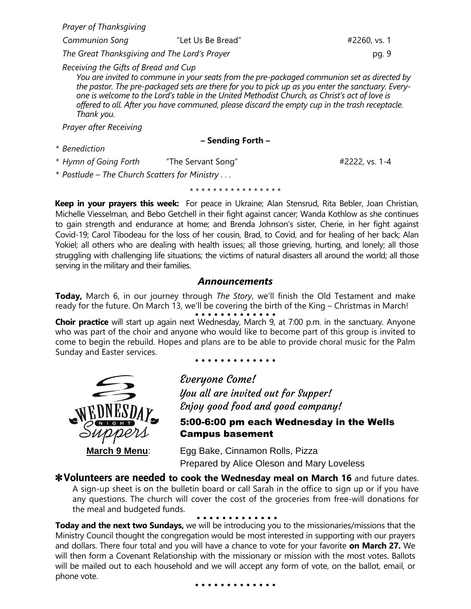*• • • • • • • • • • • • •* 

*Prayer of Thanksgiving*

Communion Song **has a metally with the Search Communion Song in the Using Bread"** and the metallong the metallong

*The Great Thanksgiving and The Lord's Prayer* **pg. 9** pg. 9

*Receiving the Gifts of Bread and Cup*

*You are invited to commune in your seats from the pre-packaged communion set as directed by the pastor. The pre-packaged sets are there for you to pick up as you enter the sanctuary. Everyone is welcome to the Lord's table in the United Methodist Church, as Christ's act of love is offered to all. After you have communed, please discard the empty cup in the trash receptacle. Thank you.*

*Prayer after Receiving*

*\* Benediction* 

### **– Sending Forth –**

*\* Hymn of Going Forth* "The Servant Song" #2222, vs. 1-4

*\* Postlude – The Church Scatters for Ministry . . .*

\* \* \* \* \* \* \* \* \* \* \* \* \* \* \* \*

**Keep in your prayers this week:** For peace in Ukraine; Alan Stensrud, Rita Bebler, Joan Christian, Michelle Viesselman, and Bebo Getchell in their fight against cancer; Wanda Kothlow as she continues to gain strength and endurance at home; and Brenda Johnson's sister, Cherie, in her fight against Covid-19; Carol Tibodeau for the loss of her cousin, Brad, to Covid, and for healing of her back; Alan Yokiel; all others who are dealing with health issues; all those grieving, hurting, and lonely; all those struggling with challenging life situations; the victims of natural disasters all around the world; all those serving in the military and their families.

### *Announcements*

**Today,** March 6, in our journey through *The Story*, we'll finish the Old Testament and make ready for the future. On March 13, we'll be covering the birth of the King – Christmas in March!

*• • • • • • • • • • • • •*  **Choir practice** will start up again next Wednesday, March 9, at 7:00 p.m. in the sanctuary. Anyone who was part of the choir and anyone who would like to become part of this group is invited to come to begin the rebuild. Hopes and plans are to be able to provide choral music for the Palm Sunday and Easter services.

*• • • • • • • • • • • • •* 

Everyone Come! You all are invited out for Supper! Enjoy good food and good company!

5:00-6:00 pm each Wednesday in the Wells Campus basement

**March 9 Menu**: Egg Bake, Cinnamon Rolls, Pizza Prepared by Alice Oleson and Mary Loveless

**Volunteers are needed to cook the Wednesday meal on March 16** and future dates. A sign-up sheet is on the bulletin board or call Sarah in the office to sign up or if you have any questions. The church will cover the cost of the groceries from free-will donations for the meal and budgeted funds.

*• • • • • • • • • • • • •* 

**Today and the next two Sundays,** we will be introducing you to the missionaries/missions that the Ministry Council thought the congregation would be most interested in supporting with our prayers and dollars. There four total and you will have a chance to vote for your favorite **on March 27.** We will then form a Covenant Relationship with the missionary or mission with the most votes. Ballots will be mailed out to each household and we will accept any form of vote, on the ballot, email, or phone vote.



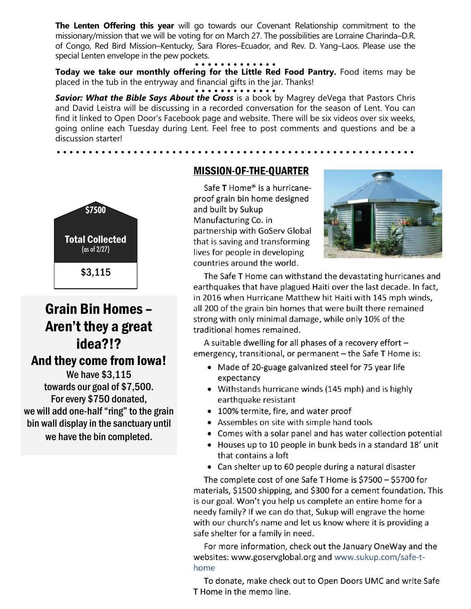**The Lenten Offering this year** will go towards our Covenant Relationship commitment to the missionary/mission that we will be voting for on March 27. The possibilities are Lorraine Charinda–D.R. of Congo, Red Bird Mission–Kentucky, Sara Flores–Ecuador, and Rev. D. Yang–Laos. Please use the special Lenten envelope in the pew pockets.

*• • • • • • • • • • • • •* 

**Today we take our monthly offering for the Little Red Food Pantry.** Food items may be placed in the tub in the entryway and financial gifts in the jar. Thanks!

*• • • • • • • • • • • • •* 

*Savior: What the Bible Says About the Cross* is a book by Magrey deVega that Pastors Chris and David Leistra will be discussing in a recorded conversation for the season of Lent. You can find it linked to Open Door's Facebook page and website. There will be six videos over six weeks, going online each Tuesday during Lent. Feel free to post comments and questions and be a discussion starter!

*• • • • • • • • • • • • • • • • • • • • • • • • • • • • • • • • • • • • • • • • • • • • • • • • • • • • • • • •* 



# Grain Bin Homes – Aren't they a great idea?!? And they come from Iowa!

We have \$3,115 towards our goal of \$7,500. For every \$750 donated, we will add one-half "ring" to the grain bin wall display in the sanctuary until we have the bin completed.

## **MISSION-OF-THE-QUARTER**

Safe T Home® is a hurricaneproof grain bin home designed and built by Sukup Manufacturing Co. in partnership with GoServ Global that is saving and transforming lives for people in developing countries around the world.



The Safe T Home can withstand the devastating hurricanes and earthquakes that have plagued Haiti over the last decade. In fact, in 2016 when Hurricane Matthew hit Haiti with 145 mph winds, all 200 of the grain bin homes that were built there remained strong with only minimal damage, while only 10% of the traditional homes remained.

A suitable dwelling for all phases of a recovery effort emergency, transitional, or permanent - the Safe T Home is:

- Made of 20-guage galvanized steel for 75 year life expectancy
- Withstands hurricane winds (145 mph) and is highly earthquake resistant
- 100% termite, fire, and water proof
- Assembles on site with simple hand tools
- Comes with a solar panel and has water collection potential
- Houses up to 10 people in bunk beds in a standard 18' unit that contains a loft
- Can shelter up to 60 people during a natural disaster

The complete cost of one Safe T Home is \$7500 - \$5700 for materials, \$1500 shipping, and \$300 for a cement foundation. This is our goal. Won't you help us complete an entire home for a needy family? If we can do that, Sukup will engrave the home with our church's name and let us know where it is providing a safe shelter for a family in need.

For more information, check out the January OneWay and the websites: www.goservglobal.org and www.sukup.com/safe-thome

To donate, make check out to Open Doors UMC and write Safe T Home in the memo line.